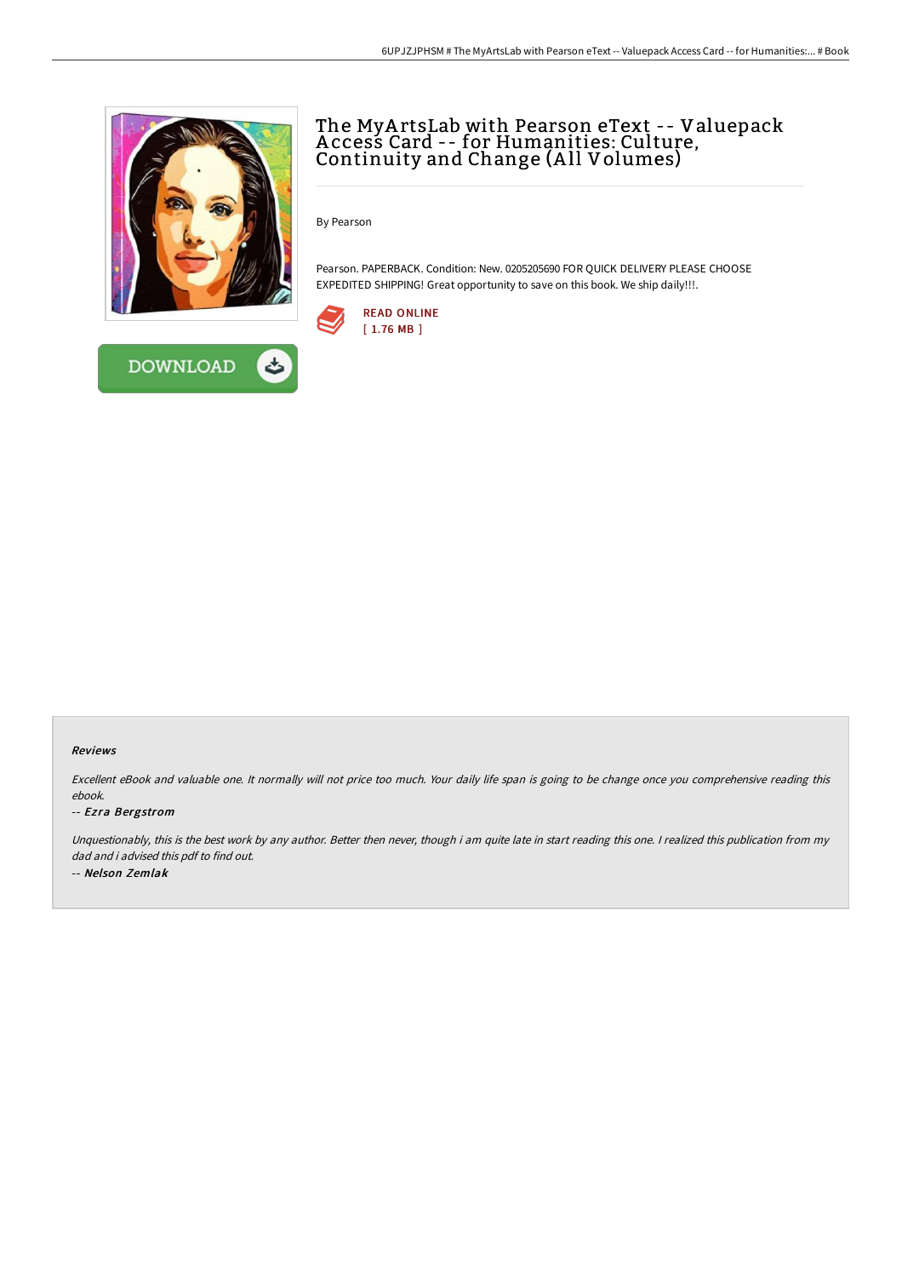

**DOWNLOAD** 

# The MyA rtsLab with Pearson eText -- Valuepack A ccess Card -- for Humanities: Culture, Continuity and Change (A ll Volumes)

By Pearson

Pearson. PAPERBACK. Condition: New. 0205205690 FOR QUICK DELIVERY PLEASE CHOOSE EXPEDITED SHIPPING! Great opportunity to save on this book. We ship daily!!!.



### Reviews

Excellent eBook and valuable one. It normally will not price too much. Your daily life span is going to be change once you comprehensive reading this ebook.

#### -- Ezra Bergstrom

Unquestionably, this is the best work by any author. Better then never, though i am quite late in start reading this one. <sup>I</sup> realized this publication from my dad and i advised this pdf to find out. -- Nelson Zemlak